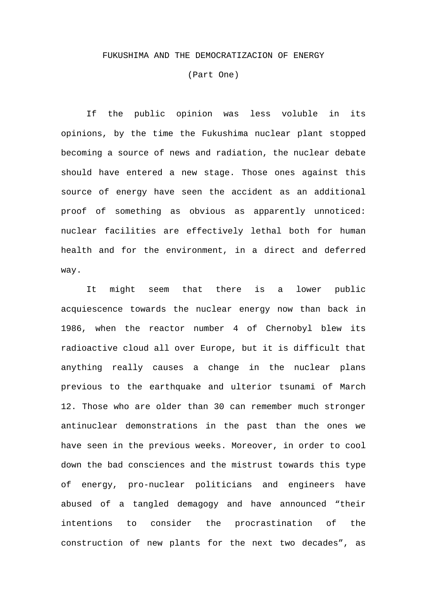## FUKUSHIMA AND THE DEMOCRATIZACION OF ENERGY

(Part One)

 If the public opinion was less voluble in its opinions, by the time the Fukushima nuclear plant stopped becoming a source of news and radiation, the nuclear debate should have entered a new stage. Those ones against this source of energy have seen the accident as an additional proof of something as obvious as apparently unnoticed: nuclear facilities are effectively lethal both for human health and for the environment, in a direct and deferred way.

 It might seem that there is a lower public acquiescence towards the nuclear energy now than back in 1986, when the reactor number 4 of Chernobyl blew its radioactive cloud all over Europe, but it is difficult that anything really causes a change in the nuclear plans previous to the earthquake and ulterior tsunami of March 12. Those who are older than 30 can remember much stronger antinuclear demonstrations in the past than the ones we have seen in the previous weeks. Moreover, in order to cool down the bad consciences and the mistrust towards this type of energy, pro-nuclear politicians and engineers have abused of a tangled demagogy and have announced "their intentions to consider the procrastination of the construction of new plants for the next two decades", as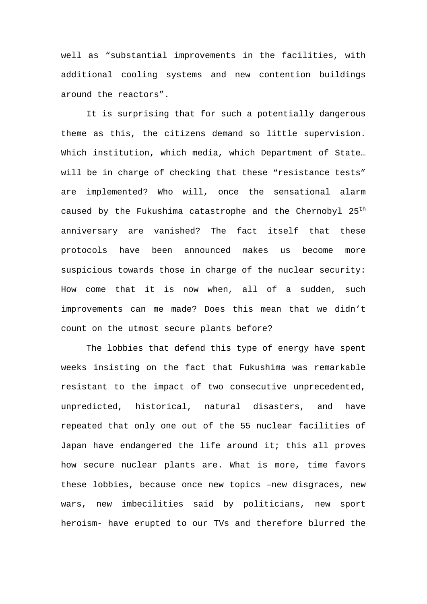well as "substantial improvements in the facilities, with additional cooling systems and new contention buildings around the reactors".

 It is surprising that for such a potentially dangerous theme as this, the citizens demand so little supervision. Which institution, which media, which Department of State… will be in charge of checking that these "resistance tests" are implemented? Who will, once the sensational alarm caused by the Fukushima catastrophe and the Chernobyl 25<sup>th</sup> anniversary are vanished? The fact itself that these protocols have been announced makes us become more suspicious towards those in charge of the nuclear security: How come that it is now when, all of a sudden, such improvements can me made? Does this mean that we didn't count on the utmost secure plants before?

The lobbies that defend this type of energy have spent weeks insisting on the fact that Fukushima was remarkable resistant to the impact of two consecutive unprecedented, unpredicted, historical, natural disasters, and have repeated that only one out of the 55 nuclear facilities of Japan have endangered the life around it; this all proves how secure nuclear plants are. What is more, time favors these lobbies, because once new topics –new disgraces, new wars, new imbecilities said by politicians, new sport heroism- have erupted to our TVs and therefore blurred the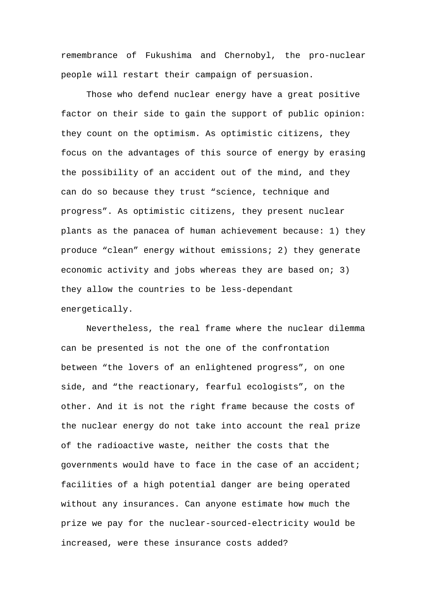remembrance of Fukushima and Chernobyl, the pro-nuclear people will restart their campaign of persuasion.

Those who defend nuclear energy have a great positive factor on their side to gain the support of public opinion: they count on the optimism. As optimistic citizens, they focus on the advantages of this source of energy by erasing the possibility of an accident out of the mind, and they can do so because they trust "science, technique and progress". As optimistic citizens, they present nuclear plants as the panacea of human achievement because: 1) they produce "clean" energy without emissions; 2) they generate economic activity and jobs whereas they are based on; 3) they allow the countries to be less-dependant energetically.

Nevertheless, the real frame where the nuclear dilemma can be presented is not the one of the confrontation between "the lovers of an enlightened progress", on one side, and "the reactionary, fearful ecologists", on the other. And it is not the right frame because the costs of the nuclear energy do not take into account the real prize of the radioactive waste, neither the costs that the governments would have to face in the case of an accident; facilities of a high potential danger are being operated without any insurances. Can anyone estimate how much the prize we pay for the nuclear-sourced-electricity would be increased, were these insurance costs added?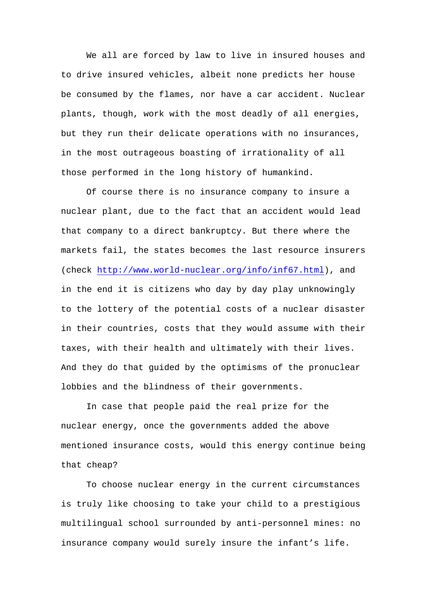We all are forced by law to live in insured houses and to drive insured vehicles, albeit none predicts her house be consumed by the flames, nor have a car accident. Nuclear plants, though, work with the most deadly of all energies, but they run their delicate operations with no insurances, in the most outrageous boasting of irrationality of all those performed in the long history of humankind.

Of course there is no insurance company to insure a nuclear plant, due to the fact that an accident would lead that company to a direct bankruptcy. But there where the markets fail, the states becomes the last resource insurers (check http://www.world-nuclear.org/info/inf67.html), and in the end it is citizens who day by day play unknowingly to the lottery of the potential costs of a nuclear disaster in their countries, costs that they would assume with their taxes, with their health and ultimately with their lives. And they do that guided by the optimisms of the pronuclear lobbies and the blindness of their governments.

In case that people paid the real prize for the nuclear energy, once the governments added the above mentioned insurance costs, would this energy continue being that cheap?

To choose nuclear energy in the current circumstances is truly like choosing to take your child to a prestigious multilingual school surrounded by anti-personnel mines: no insurance company would surely insure the infant's life.